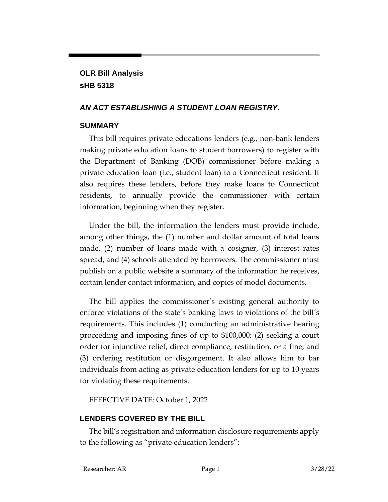# **OLR Bill Analysis sHB 5318**

### *AN ACT ESTABLISHING A STUDENT LOAN REGISTRY.*

#### **SUMMARY**

This bill requires private educations lenders (e.g., non-bank lenders making private education loans to student borrowers) to register with the Department of Banking (DOB) commissioner before making a private education loan (i.e., student loan) to a Connecticut resident. It also requires these lenders, before they make loans to Connecticut residents, to annually provide the commissioner with certain information, beginning when they register.

Under the bill, the information the lenders must provide include, among other things, the (1) number and dollar amount of total loans made, (2) number of loans made with a cosigner, (3) interest rates spread, and (4) schools attended by borrowers. The commissioner must publish on a public website a summary of the information he receives, certain lender contact information, and copies of model documents.

The bill applies the commissioner's existing general authority to enforce violations of the state's banking laws to violations of the bill's requirements. This includes (1) conducting an administrative hearing proceeding and imposing fines of up to \$100,000; (2) seeking a court order for injunctive relief, direct compliance, restitution, or a fine; and (3) ordering restitution or disgorgement. It also allows him to bar individuals from acting as private education lenders for up to 10 years for violating these requirements.

EFFECTIVE DATE: October 1, 2022

## **LENDERS COVERED BY THE BILL**

The bill's registration and information disclosure requirements apply to the following as "private education lenders":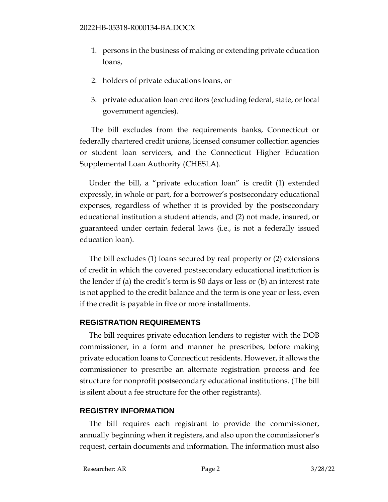- 1. persons in the business of making or extending private education loans,
- 2. holders of private educations loans, or
- 3. private education loan creditors (excluding federal, state, or local government agencies).

The bill excludes from the requirements banks, Connecticut or federally chartered credit unions, licensed consumer collection agencies or student loan servicers, and the Connecticut Higher Education Supplemental Loan Authority (CHESLA).

Under the bill, a "private education loan" is credit (1) extended expressly, in whole or part, for a borrower's postsecondary educational expenses, regardless of whether it is provided by the postsecondary educational institution a student attends, and (2) not made, insured, or guaranteed under certain federal laws (i.e., is not a federally issued education loan).

The bill excludes (1) loans secured by real property or (2) extensions of credit in which the covered postsecondary educational institution is the lender if (a) the credit's term is 90 days or less or (b) an interest rate is not applied to the credit balance and the term is one year or less, even if the credit is payable in five or more installments.

#### **REGISTRATION REQUIREMENTS**

The bill requires private education lenders to register with the DOB commissioner, in a form and manner he prescribes, before making private education loans to Connecticut residents. However, it allows the commissioner to prescribe an alternate registration process and fee structure for nonprofit postsecondary educational institutions. (The bill is silent about a fee structure for the other registrants).

## **REGISTRY INFORMATION**

The bill requires each registrant to provide the commissioner, annually beginning when it registers, and also upon the commissioner's request, certain documents and information. The information must also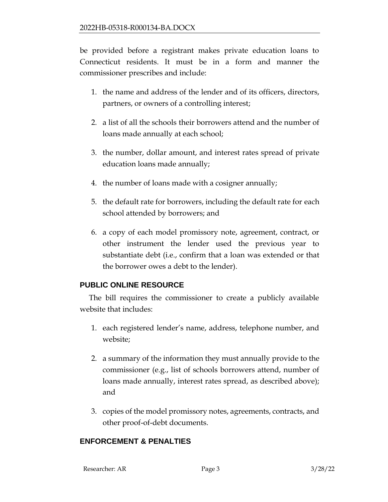be provided before a registrant makes private education loans to Connecticut residents. It must be in a form and manner the commissioner prescribes and include:

- 1. the name and address of the lender and of its officers, directors, partners, or owners of a controlling interest;
- 2. a list of all the schools their borrowers attend and the number of loans made annually at each school;
- 3. the number, dollar amount, and interest rates spread of private education loans made annually;
- 4. the number of loans made with a cosigner annually;
- 5. the default rate for borrowers, including the default rate for each school attended by borrowers; and
- 6. a copy of each model promissory note, agreement, contract, or other instrument the lender used the previous year to substantiate debt (i.e., confirm that a loan was extended or that the borrower owes a debt to the lender).

## **PUBLIC ONLINE RESOURCE**

The bill requires the commissioner to create a publicly available website that includes:

- 1. each registered lender's name, address, telephone number, and website;
- 2. a summary of the information they must annually provide to the commissioner (e.g., list of schools borrowers attend, number of loans made annually, interest rates spread, as described above); and
- 3. copies of the model promissory notes, agreements, contracts, and other proof-of-debt documents.

#### **ENFORCEMENT & PENALTIES**